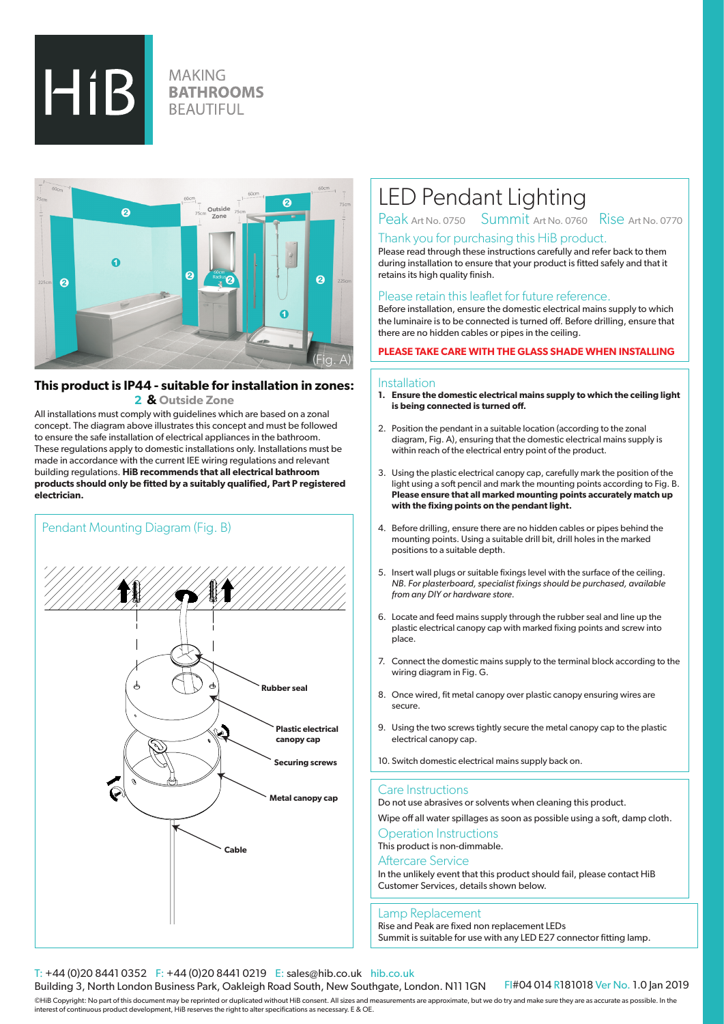

# **MAKING BATHROOMS BEAUTIFUL**



# **This product is IP44 - suitable for installation in zones:**

 **2 & Outside Zone**

All installations must comply with guidelines which are based on a zonal concept. The diagram above illustrates this concept and must be followed to ensure the safe installation of electrical appliances in the bathroom. These regulations apply to domestic installations only. Installations must be made in accordance with the current IEE wiring regulations and relevant building regulations. **HiB recommends that all electrical bathroom products should only be fitted by a suitably qualified, Part P registered electrician.**



# LED Pendant Lighting

Peak Art No. 0750 Summit Art No. 0760 Rise Art No. 0770

# Thank you for purchasing this HiB product.

Please read through these instructions carefully and refer back to them during installation to ensure that your product is fitted safely and that it retains its high quality finish.

# Please retain this leaflet for future reference.

Before installation, ensure the domestic electrical mains supply to which the luminaire is to be connected is turned off. Before drilling, ensure that there are no hidden cables or pipes in the ceiling.

# **PLEASE TAKE CARE WITH THE GLASS SHADE WHEN INSTALLING**

#### **Installation**

- **1. Ensure the domestic electrical mains supply to which the ceiling light is being connected is turned off.**
- 2. Position the pendant in a suitable location (according to the zonal diagram, Fig. A), ensuring that the domestic electrical mains supply is within reach of the electrical entry point of the product.
- 3. Using the plastic electrical canopy cap, carefully mark the position of the light using a soft pencil and mark the mounting points according to Fig. B. **Please ensure that all marked mounting points accurately match up with the fixing points on the pendant light.**
- 4. Before drilling, ensure there are no hidden cables or pipes behind the mounting points. Using a suitable drill bit, drill holes in the marked positions to a suitable depth.
- 5. Insert wall plugs or suitable fixings level with the surface of the ceiling. *NB. For plasterboard, specialist fixings should be purchased, available from any DIY or hardware store.*
- 6. Locate and feed mains supply through the rubber seal and line up the plastic electrical canopy cap with marked fixing points and screw into place.
- 7. Connect the domestic mains supply to the terminal block according to the wiring diagram in Fig. G.
- 8. Once wired, fit metal canopy over plastic canopy ensuring wires are secure.
- 9. Using the two screws tightly secure the metal canopy cap to the plastic electrical canopy cap.
- 10. Switch domestic electrical mains supply back on.

## Care Instructions

Do not use abrasives or solvents when cleaning this product.

Wipe off all water spillages as soon as possible using a soft, damp cloth.

Operation Instructions This product is non-dimmable.

# Aftercare Service

In the unlikely event that this product should fail, please contact HiB Customer Services, details shown below.

## Lamp Replacement

Rise and Peak are fixed non replacement LEDs Summit is suitable for use with any LED E27 connector fitting lamp.

# T: +44 (0)20 8441 0352 F: +44 (0)20 8441 0219 E: sales@hib.co.uk hib.co.uk

Building 3, North London Business Park, Oakleigh Road South, New Southgate, London. N11 1GN

FI#04 014 R181018 Ver No. 1.0 Jan 2019

©HiB Copyright: No part of this document may be reprinted or duplicated without HiB consent. All sizes and measurements are approximate, but we do try and make sure they are as accurate as possible. In the interest of continuous product development, HiB reserves the right to alter specifications as necessary. E & OE.